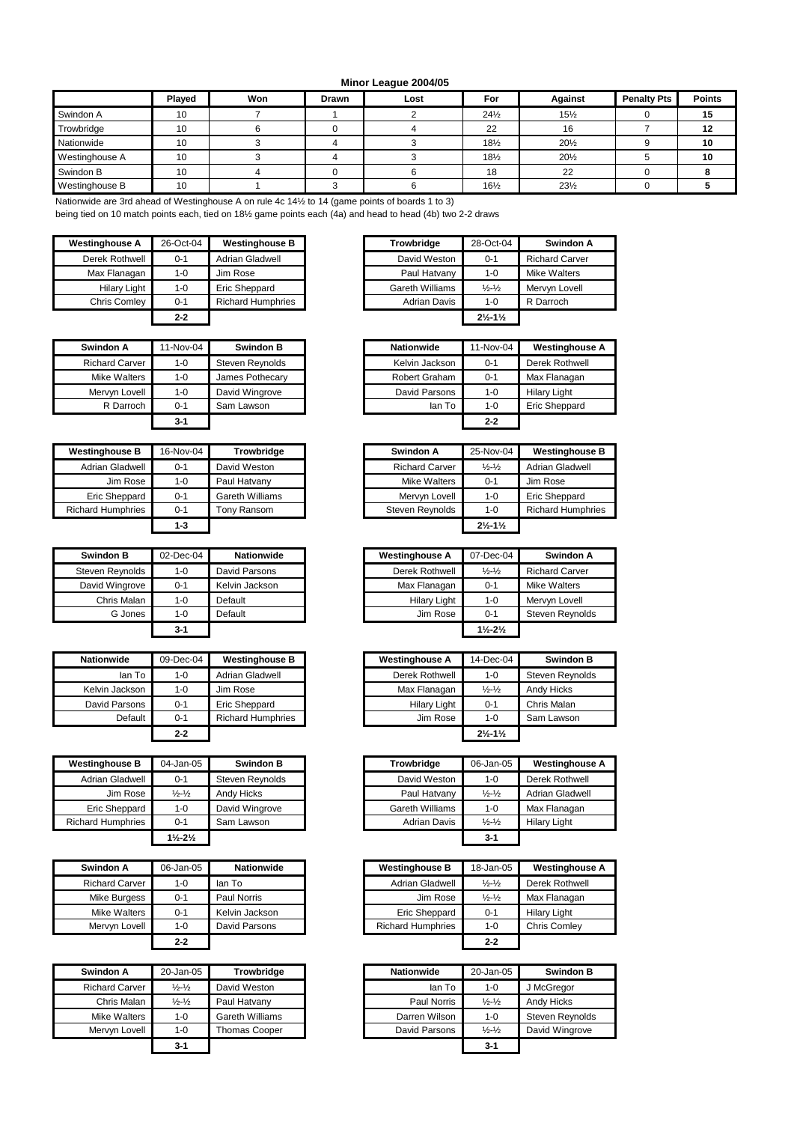## **Minor League 2004/05**

|                | Played | Won | <b>Drawn</b> | Lost | For             | <b>Against</b>  | <b>Penalty Pts</b> | <b>Points</b> |
|----------------|--------|-----|--------------|------|-----------------|-----------------|--------------------|---------------|
| Swindon A      | 10     |     |              |      | $24\frac{1}{2}$ | $15\frac{1}{2}$ |                    | 15            |
| Trowbridge     | 10     |     |              |      | 22              | 16              |                    | 12            |
| Nationwide     | 10     |     |              |      | 181/2           | 201/2           |                    | 10            |
| Westinghouse A | 10     |     |              |      | $18\frac{1}{2}$ | $20\frac{1}{2}$ |                    | 10            |
| Swindon B      | 10     |     |              |      | 18              | 22              |                    |               |
| Westinghouse B | 10     |     |              |      | 16½             | $23\frac{1}{2}$ |                    |               |

Nationwide are 3rd ahead of Westinghouse A on rule 4c 14½ to 14 (game points of boards 1 to 3)

being tied on 10 match points each, tied on 18½ game points each (4a) and head to head (4b) two 2-2 draws

| <b>Westinghouse A</b> | 26-Oct-04 | <b>Westinghouse B</b>    | Trowbridge             | 28-Oct-04                     | Swindon A             |
|-----------------------|-----------|--------------------------|------------------------|-------------------------------|-----------------------|
| Derek Rothwell        | $0 - 1$   | <b>Adrian Gladwell</b>   | David Weston           | $0 - 1$                       | <b>Richard Carver</b> |
| Max Flanagan          | $1 - 0$   | Jim Rose                 | Paul Hatvany           | $1 - 0$                       | Mike Walters          |
| <b>Hilary Light</b>   | $1 - 0$   | Eric Sheppard            | <b>Gareth Williams</b> | $\frac{1}{2} - \frac{1}{2}$   | Mervyn Lovell         |
| Chris Comley          | $0 - 1$   | <b>Richard Humphries</b> | <b>Adrian Davis</b>    | $1 - 0$                       | R Darroch             |
|                       | $2 - 2$   |                          |                        | $2\frac{1}{2} - 1\frac{1}{2}$ |                       |

| Swindon A             | 11-Nov-04 | <b>Swindon B</b> | <b>Nationwide</b> | 11-Nov-04 | Westingl            |
|-----------------------|-----------|------------------|-------------------|-----------|---------------------|
| <b>Richard Carver</b> | $1 - 0$   | Steven Reynolds  | Kelvin Jackson    | $0 - 1$   | Derek Roth          |
| Mike Walters          | $1 - 0$   | James Pothecary  | Robert Graham     | $0 - 1$   | Max Flana           |
| Mervyn Lovell         | $1 - 0$   | David Wingrove   | David Parsons     | $1 - 0$   | <b>Hilary Light</b> |
| R Darroch             | $0 - 1$   | Sam Lawson       | lan To            | $1 - 0$   | Eric Shepp          |
|                       | $3 - 1$   |                  |                   | $2 - 2$   |                     |

| <b>Westinghouse B</b>    | 16-Nov-04 | <b>Trowbridge</b>      |
|--------------------------|-----------|------------------------|
| Adrian Gladwell          | $0 - 1$   | David Weston           |
| Jim Rose                 | $1 - 0$   | Paul Hatvany           |
| Eric Sheppard            | $0 - 1$   | <b>Gareth Williams</b> |
| <b>Richard Humphries</b> | $0 - 1$   | Tony Ransom            |
|                          | $1-3$     |                        |

| <b>Swindon B</b> | 02-Dec-04 | <b>Nationwide</b> | <b>Westinghouse A</b> | 07-Dec-04                       | Swindon               |
|------------------|-----------|-------------------|-----------------------|---------------------------------|-----------------------|
| Steven Reynolds  | $1 - 0$   | David Parsons     | Derek Rothwell        | $\frac{1}{2}$ - $\frac{1}{2}$   | <b>Richard Carver</b> |
| David Wingrove   | $0 - 1$   | Kelvin Jackson    | Max Flanagan          | $0 - 1$                         | Mike Walters          |
| Chris Malan      | 1-0       | Default           | <b>Hilary Light</b>   | 1-0                             | Mervyn Lovell         |
| G Jones          | $1 - 0$   | Default           | Jim Rose              | $0 - 1$                         | Steven Reynol         |
|                  | $3 - 1$   |                   |                       | $1\frac{1}{2}$ - $2\frac{1}{2}$ |                       |

| <b>Nationwide</b> | 09-Dec-04 | <b>Westinghouse B</b>    | <b>Westinghouse A</b> | 14-Dec-04                     | <b>Swindon B</b> |
|-------------------|-----------|--------------------------|-----------------------|-------------------------------|------------------|
| lan To            | $1 - 0$   | Adrian Gladwell          | Derek Rothwell        | $1 - 0$                       | Steven Reynold   |
| Kelvin Jackson    | 1-0       | Jim Rose                 | Max Flanagan          | $\frac{1}{2} - \frac{1}{2}$   | Andy Hicks       |
| David Parsons     | $0 - 1$   | Eric Sheppard            | <b>Hilary Light</b>   | $0 - 1$                       | Chris Malan      |
| Default           | $0 - 1$   | <b>Richard Humphries</b> | Jim Rose              | $1 - 0$                       | Sam Lawson       |
|                   | $2 - 2$   |                          |                       | $2\frac{1}{2} - 1\frac{1}{2}$ |                  |

| <b>Westinghouse B</b>    | 04-Jan-05                     | <b>Swindon B</b> | <b>Trowbridge</b> | 06-Jan-05                   | Westingl            |
|--------------------------|-------------------------------|------------------|-------------------|-----------------------------|---------------------|
| Adrian Gladwell          | $0 - 1$                       | Steven Reynolds  | David Weston      | 1-0                         | Derek Roth          |
| Jim Rose                 | $\frac{1}{2} - \frac{1}{2}$   | Andy Hicks       | Paul Hatvany      | $\frac{1}{2} - \frac{1}{2}$ | Adrian Gla          |
| Eric Sheppard            | $1 - 0$                       | David Wingrove   | Gareth Williams   | 1-0                         | Max Flana           |
| <b>Richard Humphries</b> | $0 - 1$                       | Sam Lawson       | Adrian Davis      | $\frac{1}{2} - \frac{1}{2}$ | <b>Hilary Light</b> |
|                          | $1\frac{1}{2} - 2\frac{1}{2}$ |                  |                   | $3 - 1$                     |                     |

| Swindon A             | 06-Jan-05 | <b>Nationwide</b> | <b>Westinghouse B</b>    | 18-Jan-05                   | Westingl            |
|-----------------------|-----------|-------------------|--------------------------|-----------------------------|---------------------|
| <b>Richard Carver</b> | 1-0       | lan To            | Adrian Gladwell          | $\frac{1}{2} - \frac{1}{2}$ | Derek Roth          |
| Mike Burgess          | $0 - 1$   | Paul Norris       | Jim Rose                 | $\frac{1}{2} - \frac{1}{2}$ | Max Flana           |
| Mike Walters          | $0 - 1$   | Kelvin Jackson    | <b>Eric Sheppard</b>     | $0 - 1$                     | <b>Hilary Light</b> |
| Mervyn Lovell         | $1 - 0$   | David Parsons     | <b>Richard Humphries</b> | $1 - 0$                     | Chris Coml          |
|                       | $2 - 2$   |                   |                          | $2 - 2$                     |                     |

| Swindon A             | 20-Jan-05                     | Trowbridge           | <b>Nationwide</b> | 20-Jan-05                   | <b>Swindon B</b> |
|-----------------------|-------------------------------|----------------------|-------------------|-----------------------------|------------------|
| <b>Richard Carver</b> | $\frac{1}{2}$ - $\frac{1}{2}$ | David Weston         | lan To            | $1 - 0$                     | J McGregor       |
| Chris Malan           | $\frac{1}{2} - \frac{1}{2}$   | Paul Hatvany         | Paul Norris       | $\frac{1}{2} - \frac{1}{2}$ | Andy Hicks       |
| Mike Walters          | $1 - 0$                       | Gareth Williams      | Darren Wilson     | $1 - 0$                     | Steven Reynold   |
| Mervvn Lovell         | $1 - 0$                       | <b>Thomas Cooper</b> | David Parsons     | $\frac{1}{2} - \frac{1}{2}$ | David Wingrove   |
|                       | $3 - 1$                       |                      |                   | $3 - 1$                     |                  |

| estinghouse A       | 26-Oct-04 | <b>Westinghouse B</b>    | Trowbridge      | 28-Oct-04                     | Swindon A             |
|---------------------|-----------|--------------------------|-----------------|-------------------------------|-----------------------|
| Derek Rothwell      | $0 - 1$   | Adrian Gladwell          | David Weston    | $0 - 1$                       | <b>Richard Carver</b> |
| Max Flanagan        | $1 - 0$   | Jim Rose                 | Paul Hatvany    | $1 - 0$                       | <b>Mike Walters</b>   |
| <b>Hilary Light</b> | $1 - 0$   | Eric Sheppard            | Gareth Williams | $\frac{1}{2} - \frac{1}{2}$   | Mervyn Lovell         |
| Chris Comley        | $0 - 1$   | <b>Richard Humphries</b> | Adrian Davis    | $1 - 0$                       | R Darroch             |
|                     | $2 - 2$   |                          |                 | $2\frac{1}{2} - 1\frac{1}{2}$ |                       |

| Swindon A             | 11-Nov-04 | <b>Swindon B</b> | <b>Nationwide</b> | 11-Nov-04 | <b>Westinghouse A</b> |
|-----------------------|-----------|------------------|-------------------|-----------|-----------------------|
| <b>Richard Carver</b> | $1 - 0$   | Steven Reynolds  | Kelvin Jackson    | $0 - 1$   | Derek Rothwell        |
| Mike Walters          | $1 - 0$   | James Pothecary  | Robert Graham     | $0 - 1$   | Max Flanagan          |
| Mervvn Lovell         | $1 - 0$   | David Wingrove   | David Parsons     | $1 - 0$   | <b>Hilary Light</b>   |
| R Darroch             | $0 - 1$   | Sam Lawson       | lan To            | $1 - 0$   | Eric Sheppard         |
|                       | $3 - 1$   |                  |                   | $2 - 2$   |                       |

| <b>Westinghouse B</b>    | 16-Nov-04 | Trowbridge      | Swindon A             | 25-Nov-04                     | <b>Westinghouse B</b>    |
|--------------------------|-----------|-----------------|-----------------------|-------------------------------|--------------------------|
| Adrian Gladwell          | $0 - 1$   | David Weston    | <b>Richard Carver</b> | $\frac{1}{2} - \frac{1}{2}$   | Adrian Gladwell          |
| Jim Rose                 | $1 - 0$   | Paul Hatvany    | Mike Walters          | $0 - 1$                       | Jim Rose                 |
| Eric Sheppard            | $0 - 1$   | Gareth Williams | Mervyn Lovell         | $1 - 0$                       | Eric Sheppard            |
| <b>Richard Humphries</b> | $0 - 1$   | Tony Ransom     | Steven Reynolds       | $1 - 0$                       | <b>Richard Humphries</b> |
|                          | $1 - 3$   |                 |                       | $2\frac{1}{2} - 1\frac{1}{2}$ |                          |

| <b>Swindon B</b> | 02-Dec-04 | <b>Nationwide</b> |
|------------------|-----------|-------------------|
| Steven Reynolds  | $1 - 0$   | David Parsons     |
| David Wingrove   | $0 - 1$   | Kelvin Jackson    |
| Chris Malan      | $1 - 0$   | Default           |
| G Jones          | $1 - 0$   | Default           |
|                  | $3 - 1$   |                   |

| <i>r</i> ide | 09-Dec-04 | <b>Westinghouse B</b>    | <b>Westinghouse A</b> | 14-Dec-04                     | <b>Swindon B</b> |
|--------------|-----------|--------------------------|-----------------------|-------------------------------|------------------|
| lan To       | 1-0       | Adrian Gladwell          | Derek Rothwell        | $1 - 0$                       | Steven Reynolds  |
| Jackson      | 1-0       | Jim Rose                 | Max Flanagan          | $\frac{1}{2} - \frac{1}{2}$   | Andy Hicks       |
| Parsons      | $0 - 1$   | Eric Sheppard            | <b>Hilary Light</b>   | $0 - 1$                       | Chris Malan      |
| Default      | $0 - 1$   | <b>Richard Humphries</b> | Jim Rose              | $1 - 0$                       | Sam Lawson       |
|              | $2 - 2$   |                          |                       | $2\frac{1}{2} - 1\frac{1}{2}$ |                  |

| <b>Westinghouse B</b>    | 04-Jan-05                       | <b>Swindon B</b> | Trowbridge      | 06-Jan-05                   | <b>Westinghouse A</b> |
|--------------------------|---------------------------------|------------------|-----------------|-----------------------------|-----------------------|
| Adrian Gladwell          | $0 - 1$                         | Steven Reynolds  | David Weston    | $1 - 0$                     | Derek Rothwell        |
| Jim Rose                 | $\frac{1}{2}$ - $\frac{1}{2}$   | Andy Hicks       | Paul Hatvany    | $\frac{1}{2} - \frac{1}{2}$ | Adrian Gladwell       |
| <b>Eric Sheppard</b>     | $1 - 0$                         | David Wingrove   | Gareth Williams | $1 - 0$                     | Max Flanagan          |
| <b>Richard Humphries</b> | $0 - 1$                         | Sam Lawson       | Adrian Davis    | $\frac{1}{2} - \frac{1}{2}$ | <b>Hilary Light</b>   |
|                          | $1\frac{1}{2}$ - $2\frac{1}{2}$ |                  |                 | $3 - 1$                     |                       |

| Swindon A             | 06-Jan-05 | <b>Nationwide</b> | <b>Westinghouse B</b>    | 18-Jan-05                     | <b>Westinghouse A</b> |
|-----------------------|-----------|-------------------|--------------------------|-------------------------------|-----------------------|
| <b>Richard Carver</b> | $1 - 0$   | lan To            | Adrian Gladwell          | $\frac{1}{2}$ - $\frac{1}{2}$ | Derek Rothwell        |
| Mike Burgess          | $0 - 1$   | Paul Norris       | Jim Rose                 | $\frac{1}{2} - \frac{1}{2}$   | Max Flanagan          |
| Mike Walters          | $0 - 1$   | Kelvin Jackson    | Eric Sheppard            | $0 - 1$                       | <b>Hilary Light</b>   |
| Mervyn Lovell         | $1 - 0$   | David Parsons     | <b>Richard Humphries</b> | $1 - 0$                       | <b>Chris Comlev</b>   |
|                       | $2 - 2$   |                   |                          | $2 - 2$                       |                       |

| windon A       | 20-Jan-05                     | <b>Trowbridge</b> | <b>Nationwide</b> | 20-Jan-05                   |
|----------------|-------------------------------|-------------------|-------------------|-----------------------------|
| Richard Carver | $\frac{1}{2}$ - $\frac{1}{2}$ | David Weston      | lan To            | 1-0                         |
| Chris Malan    | $\frac{1}{2}$ - $\frac{1}{2}$ | Paul Hatvany      | Paul Norris       | $\frac{1}{2} - \frac{1}{2}$ |
| Mike Walters   | 1-0                           | Gareth Williams   | Darren Wilson     | 1-0                         |
| Mervyn Lovell  | $1 - 0$                       | Thomas Cooper     | David Parsons     | $\frac{1}{2} - \frac{1}{2}$ |
|                | $3 - 1$                       |                   |                   | $3 - 1$                     |